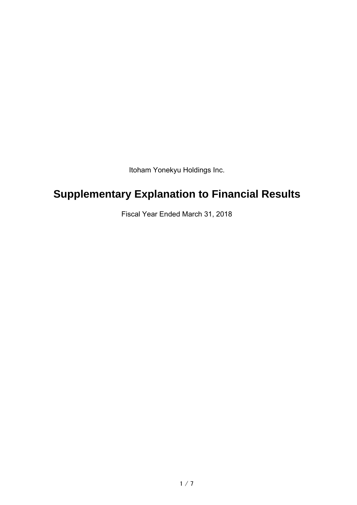Itoham Yonekyu Holdings Inc.

# **Supplementary Explanation to Financial Results**

Fiscal Year Ended March 31, 2018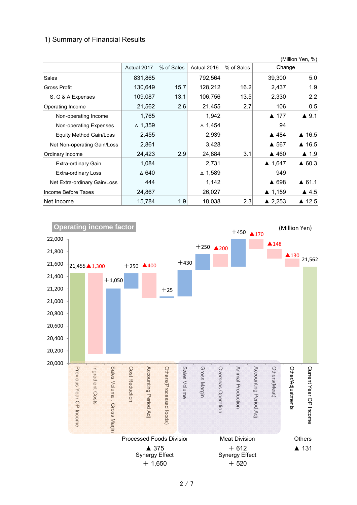#### 1) Summary of Financial Results

|                              |                 |            |                   |            |                   | (Million Yen, %)      |
|------------------------------|-----------------|------------|-------------------|------------|-------------------|-----------------------|
|                              | Actual 2017     | % of Sales | Actual 2016       | % of Sales | Change            |                       |
| <b>Sales</b>                 | 831,865         |            | 792,564           |            | 39,300            | 5.0                   |
| Gross Profit                 | 130,649         | 15.7       | 128,212           | 16.2       | 2,437             | 1.9                   |
| S, G & A Expenses            | 109,087         | 13.1       | 106,756           | 13.5       | 2,330             | 2.2                   |
| Operating Income             | 21,562          | 2.6        | 21,455            | 2.7        | 106               | 0.5                   |
| Non-operating Income         | 1,765           |            | 1,942             |            | ▲ 177             | $\blacktriangle$ 9.1  |
| Non-operating Expenses       | $\Delta$ 1,359  |            | $\triangle$ 1,454 |            | 94                |                       |
| Equity Method Gain/Loss      | 2,455           |            | 2,939             |            | ▲ 484             | $\blacktriangle$ 16.5 |
| Net Non-operating Gain/Loss  | 2,861           |            | 3,428             |            | ▲ 567             | $\triangle$ 16.5      |
| Ordinary Income              | 24,423          | 2.9        | 24,884            | 3.1        | ▲ 460             | $\triangle$ 1.9       |
| Extra-ordinary Gain          | 1,084           |            | 2,731             |            | $\triangle$ 1,647 | $\triangle$ 60.3      |
| <b>Extra-ordinary Loss</b>   | $\triangle$ 640 |            | $\Delta$ 1,589    |            | 949               |                       |
| Net Extra-ordinary Gain/Loss | 444             |            | 1,142             |            | ▲ 698             | $\triangle$ 61.1      |
| Income Before Taxes          | 24,867          |            | 26,027            |            | $\triangle$ 1,159 | $\blacktriangle$ 4.5  |
| Net Income                   | 15,784          | 1.9        | 18,038            | 2.3        | ▲ 2,253           | ▲ 12.5                |

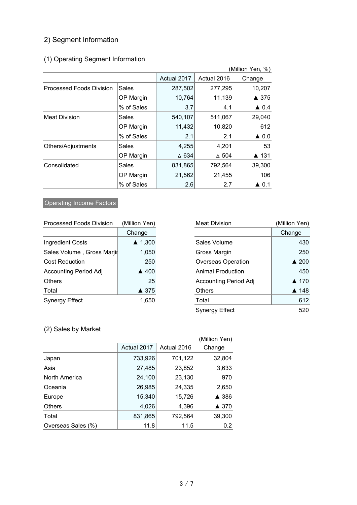## 2) Segment Information

## (1) Operating Segment Information

| (Million Yen, %)         |              |             |              |                      |
|--------------------------|--------------|-------------|--------------|----------------------|
|                          |              | Actual 2017 | Actual 2016  | Change               |
| Processed Foods Division | <b>Sales</b> | 287,502     | 277,295      | 10,207               |
|                          | OP Margin    | 10,764      | 11,139       | ▲ 375                |
|                          | % of Sales   | 3.7         | 4.1          | $\triangle$ 0.4      |
| <b>Meat Division</b>     | Sales        | 540,107     | 511,067      | 29,040               |
|                          | OP Margin    | 11,432      | 10,820       | 612                  |
|                          | % of Sales   | 2.1         | 2.1          | $\triangle$ 0.0      |
| Others/Adjustments       | Sales        | 4,255       | 4,201        | 53                   |
|                          | OP Margin    | ∆ 634       | $\Delta$ 504 | ▲ 131                |
| Consolidated             | Sales        | 831,865     | 792,564      | 39,300               |
|                          | OP Margin    | 21,562      | 21,455       | 106                  |
|                          | % of Sales   | 2.6         | 2.7          | $\blacktriangle$ 0.1 |

## **Operating Income Factors**

| <b>Processed Foods Division</b> | (Million Yen)     |
|---------------------------------|-------------------|
|                                 | Change            |
| <b>Ingredient Costs</b>         | $\triangle$ 1,300 |
| Sales Volume, Gross Marjir      | 1,050             |
| <b>Cost Reduction</b>           | 250               |
| <b>Accounting Period Adj</b>    | $\triangle$ 400   |
| <b>Others</b>                   | 25                |
| Total                           | ▲ 375             |
| <b>Synergy Effect</b>           | 1.650             |

| <b>Processed Foods Division</b> | (Million Yen)     | <b>Meat Division</b>         | (Million Yen)   |
|---------------------------------|-------------------|------------------------------|-----------------|
|                                 | Change            |                              | Change          |
| <b>Ingredient Costs</b>         | $\triangle$ 1,300 | Sales Volume                 | 430             |
| Sales Volume, Gross Marjir      | 1,050             | Gross Margin                 | 250             |
| <b>Cost Reduction</b>           | 250               | <b>Overseas Operation</b>    | $\triangle$ 200 |
| <b>Accounting Period Adj</b>    | ▲ 400             | Animal Production            | 450             |
| Others                          | 25                | <b>Accounting Period Adj</b> | ▲ 170           |
| Total                           | ▲ 375             | <b>Others</b>                | ▲ 148           |
| Synergy Effect                  | 1,650             | Total                        | 612             |
|                                 |                   | <b>Synergy Effect</b>        | 520             |

## (2) Sales by Market

|                    |             |             | (Million Yen) |
|--------------------|-------------|-------------|---------------|
|                    | Actual 2017 | Actual 2016 | Change        |
| Japan              | 733,926     | 701,122     | 32,804        |
| Asia               | 27,485      | 23,852      | 3,633         |
| North America      | 24,100      | 23,130      | 970           |
| Oceania            | 26,985      | 24,335      | 2,650         |
| Europe             | 15,340      | 15,726      | ▲ 386         |
| <b>Others</b>      | 4,026       | 4,396       | ▲ 370         |
| Total              | 831,865     | 792,564     | 39,300        |
| Overseas Sales (%) | 11.8        | 11.5        | 0.2           |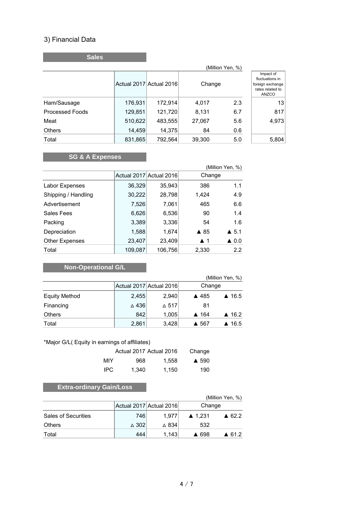#### 3) Financial Data

**Sales**

| (Million Yen, %)       |         |                         |        |     |                                                                               |  |
|------------------------|---------|-------------------------|--------|-----|-------------------------------------------------------------------------------|--|
|                        |         | Actual 2017 Actual 2016 | Change |     | Impact of<br>fluctuations in<br>foreign exchange<br>rates related to<br>ANZCO |  |
| Ham/Sausage            | 176,931 | 172,914                 | 4,017  | 2.3 | 13 <sup>1</sup>                                                               |  |
| <b>Processed Foods</b> | 129,851 | 121,720                 | 8,131  | 6.7 | 817                                                                           |  |
| Meat                   | 510,622 | 483,555                 | 27,067 | 5.6 | 4,973                                                                         |  |
| <b>Others</b>          | 14,459  | 14,375                  | 84     | 0.6 |                                                                               |  |
| Total                  | 831,865 | 792,564                 | 39,300 | 5.0 | 5,804                                                                         |  |

## **SG & A Expenses**

|                       |         |                         |                    | (Million Yen, %)     |
|-----------------------|---------|-------------------------|--------------------|----------------------|
|                       |         | Actual 2017 Actual 2016 | Change             |                      |
| Labor Expenses        | 36,329  | 35,943                  | 386                | 1.1                  |
| Shipping / Handling   | 30,222  | 28,798                  | 1,424              | 4.9                  |
| Advertisement         | 7,526   | 7,061                   | 465                | 6.6                  |
| Sales Fees            | 6,626   | 6,536                   | 90                 | 1.4                  |
| Packing               | 3,389   | 3,336                   | 54                 | 1.6                  |
| Depreciation          | 1,588   | 1,674                   | $\triangle$ 85     | $\blacktriangle$ 5.1 |
| <b>Other Expenses</b> | 23,407  | 23,409                  | $\blacktriangle$ 1 | $\triangle$ 0.0      |
| Total                 | 109,087 | 106,756                 | 2,330              | 2.2                  |

## **Non-Operational G/L**

|                      |       |                         | (Million Yen, %)                         |
|----------------------|-------|-------------------------|------------------------------------------|
|                      |       | Actual 2017 Actual 2016 | Change                                   |
| <b>Equity Method</b> | 2,455 | 2,940                   | $\triangle$ 16.5<br>▲ 485                |
| Financing            | △436  | $\triangle$ 517         | 81                                       |
| <b>Others</b>        | 842   | 1,005                   | $\blacktriangle$ 164<br>$\triangle$ 16.2 |
| Total                | 2,861 | 3,428                   | $\triangle$ 16.5<br>▲ 567                |

#### \*Major G/L( Equity in earnings of affiliates)

|      | Actual 2017 Actual 2016 |       | Change          |
|------|-------------------------|-------|-----------------|
| MIY  | 968.                    | 1.558 | $\triangle$ 590 |
| IPC. | 1.340                   | 1.150 | 190             |

## **Extra-ordinary Gain/Loss**

|                            |                 |                         | (Million Yen, %)                      |
|----------------------------|-----------------|-------------------------|---------------------------------------|
|                            |                 | Actual 2017 Actual 2016 | Change                                |
| <b>Sales of Securities</b> | 746             | 1.977                   | $\triangle$ 1.231<br>$\triangle$ 62.2 |
| Others                     | $\triangle$ 302 | $\triangle$ 834         | 532                                   |
| Total                      | 444             | 1.143                   | ▲ 698<br>▲ 61.2                       |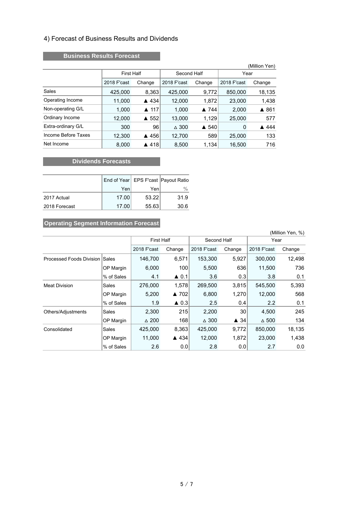#### 4) Forecast of Business Results and Dividends

#### **Business Results Forecast**

|                     |                   |                         |                 |        |             | (Million Yen) |
|---------------------|-------------------|-------------------------|-----------------|--------|-------------|---------------|
|                     | <b>First Half</b> |                         | Second Half     |        | Year        |               |
|                     | 2018 F'cast       | Change                  | 2018 F'cast     | Change | 2018 F'cast | Change        |
| Sales               | 425,000           | 8,363                   | 425,000         | 9,772  | 850,000     | 18,135        |
| Operating Income    | 11,000            | ▲ 434                   | 12,000          | 1,872  | 23,000      | 1,438         |
| Non-operating G/L   | 1,000             | $\blacktriangle$ 117    | 1,000           | ▲ 744  | 2,000       | ▲ 861         |
| Ordinary Income     | 12,000            | 552<br>$\blacktriangle$ | 13,000          | 1,129  | 25,000      | 577           |
| Extra-ordinary G/L  | 300               | 96                      | $\triangle$ 300 | ▲ 540  | 0           | ▲ 444         |
| Income Before Taxes | 12,300            | ▲ 456                   | 12,700          | 589    | 25,000      | 133           |
| Net Income          | 8,000             | ▲ 418                   | 8,500           | 1,134  | 16,500      | 716           |

#### **CONSIDERED EXECUTES** Dividends Forecasts

|               |       |       | End of Year   EPS F'cast   Payout Ratio |
|---------------|-------|-------|-----------------------------------------|
|               | Yen   | Yenl  | $\%$                                    |
| 2017 Actual   | 17.00 | 53.22 | 31.9                                    |
| 2018 Forecast | 17.00 | 55.63 | 30.6                                    |

#### **Operating Segment Information Forecast**

| (Million Yen, %)         |            |                   |                 |                 |                 |                 |        |
|--------------------------|------------|-------------------|-----------------|-----------------|-----------------|-----------------|--------|
|                          |            | <b>First Half</b> |                 | Second Half     |                 | Year            |        |
|                          |            | 2018 F'cast       | Change          | 2018 F'cast     | Change          | 2018 F'cast     | Change |
| Processed Foods Division | Sales      | 146,700           | 6,571           | 153,300         | 5,927           | 300,000         | 12,498 |
|                          | OP Margin  | 6,000             | 100             | 5,500           | 636             | 11,500          | 736    |
|                          | % of Sales | 4.1               | $\triangle$ 0.1 | 3.6             | 0.3             | 3.8             | 0.1    |
| <b>Meat Division</b>     | Sales      | 276,000           | 1,578           | 269,500         | 3,815           | 545,500         | 5,393  |
|                          | OP Margin  | 5.200             | ▲ 702           | 6,800           | 1.270           | 12,000          | 568    |
|                          | % of Sales | 1.9               | $\triangle$ 0.3 | 2.5             | 0.4             | $2.2^{\circ}$   | 0.1    |
| Others/Adjustments       | Sales      | 2,300             | 215             | 2,200           | 30 <sub>1</sub> | 4,500           | 245    |
|                          | OP Margin  | $\triangle 200$   | 168             | $\triangle$ 300 | $\triangle$ 34  | $\triangle$ 500 | 134    |
| Consolidated             | Sales      | 425,000           | 8,363           | 425,000         | 9,772           | 850,000         | 18,135 |
|                          | OP Margin  | 11,000            | ▲ 434           | 12,000          | 1,872           | 23,000          | 1,438  |
|                          | % of Sales | 2.6               | 0.0             | 2.8             | 0.0             | 2.7             | 0.0    |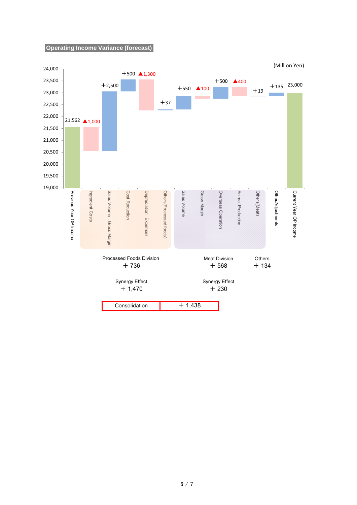**Operating Income Variance (forecast)**